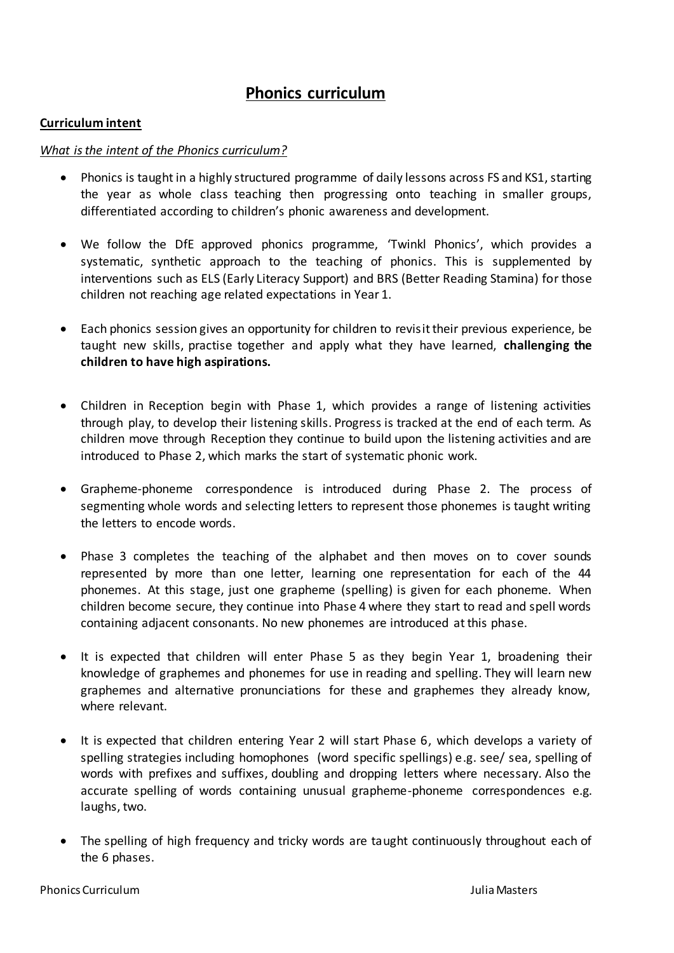# **Phonics curriculum**

## **Curriculum intent**

## *What is the intent of the Phonics curriculum?*

- Phonics is taught in a highly structured programme of daily lessons across FS and KS1, starting the year as whole class teaching then progressing onto teaching in smaller groups, differentiated according to children's phonic awareness and development.
- We follow the DfE approved phonics programme, 'Twinkl Phonics', which provides a systematic, synthetic approach to the teaching of phonics. This is supplemented by interventions such as ELS (Early Literacy Support) and BRS (Better Reading Stamina) for those children not reaching age related expectations in Year 1.
- Each phonics session gives an opportunity for children to revisit their previous experience, be taught new skills, practise together and apply what they have learned, **challenging the children to have high aspirations.**
- Children in Reception begin with Phase 1, which provides a range of listening activities through play, to develop their listening skills. Progress is tracked at the end of each term. As children move through Reception they continue to build upon the listening activities and are introduced to Phase 2, which marks the start of systematic phonic work.
- Grapheme-phoneme correspondence is introduced during Phase 2. The process of segmenting whole words and selecting letters to represent those phonemes is taught writing the letters to encode words.
- Phase 3 completes the teaching of the alphabet and then moves on to cover sounds represented by more than one letter, learning one representation for each of the 44 phonemes. At this stage, just one grapheme (spelling) is given for each phoneme. When children become secure, they continue into Phase 4 where they start to read and spell words containing adjacent consonants. No new phonemes are introduced at this phase.
- It is expected that children will enter Phase 5 as they begin Year 1, broadening their knowledge of graphemes and phonemes for use in reading and spelling. They will learn new graphemes and alternative pronunciations for these and graphemes they already know, where relevant.
- It is expected that children entering Year 2 will start Phase 6, which develops a variety of spelling strategies including homophones (word specific spellings) e.g. see/ sea, spelling of words with prefixes and suffixes, doubling and dropping letters where necessary. Also the accurate spelling of words containing unusual grapheme-phoneme correspondences e.g. laughs, two.
- The spelling of high frequency and tricky words are taught continuously throughout each of the 6 phases.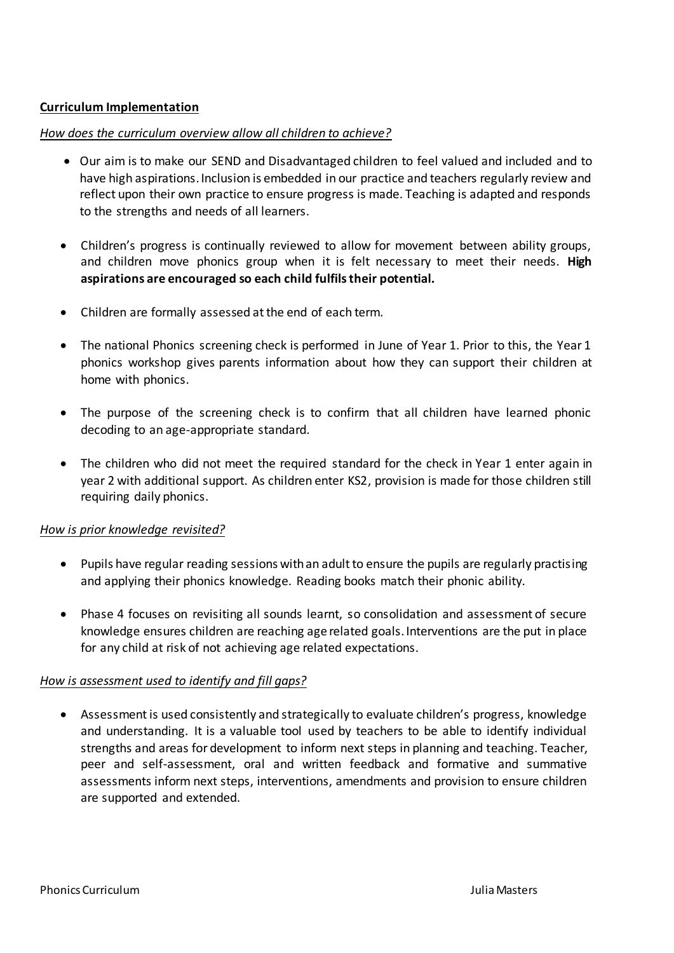# **Curriculum Implementation**

#### *How does the curriculum overview allow all children to achieve?*

- Our aim is to make our SEND and Disadvantaged children to feel valued and included and to have high aspirations. Inclusion is embedded in our practice and teachers regularly review and reflect upon their own practice to ensure progress is made. Teaching is adapted and responds to the strengths and needs of all learners.
- Children's progress is continually reviewed to allow for movement between ability groups, and children move phonics group when it is felt necessary to meet their needs. **High aspirations are encouraged so each child fulfils their potential.**
- Children are formally assessed at the end of each term.
- The national Phonics screening check is performed in June of Year 1. Prior to this, the Year 1 phonics workshop gives parents information about how they can support their children at home with phonics.
- The purpose of the screening check is to confirm that all children have learned phonic decoding to an age-appropriate standard.
- The children who did not meet the required standard for the check in Year 1 enter again in year 2 with additional support. As children enter KS2, provision is made for those children still requiring daily phonics.

#### *How is prior knowledge revisited?*

- Pupils have regular reading sessions with an adult to ensure the pupils are regularly practising and applying their phonics knowledge. Reading books match their phonic ability.
- Phase 4 focuses on revisiting all sounds learnt, so consolidation and assessment of secure knowledge ensures children are reaching age related goals. Interventions are the put in place for any child at risk of not achieving age related expectations.

#### *How is assessment used to identify and fill gaps?*

 Assessment is used consistently and strategically to evaluate children's progress, knowledge and understanding. It is a valuable tool used by teachers to be able to identify individual strengths and areas for development to inform next steps in planning and teaching. Teacher, peer and self-assessment, oral and written feedback and formative and summative assessments inform next steps, interventions, amendments and provision to ensure children are supported and extended.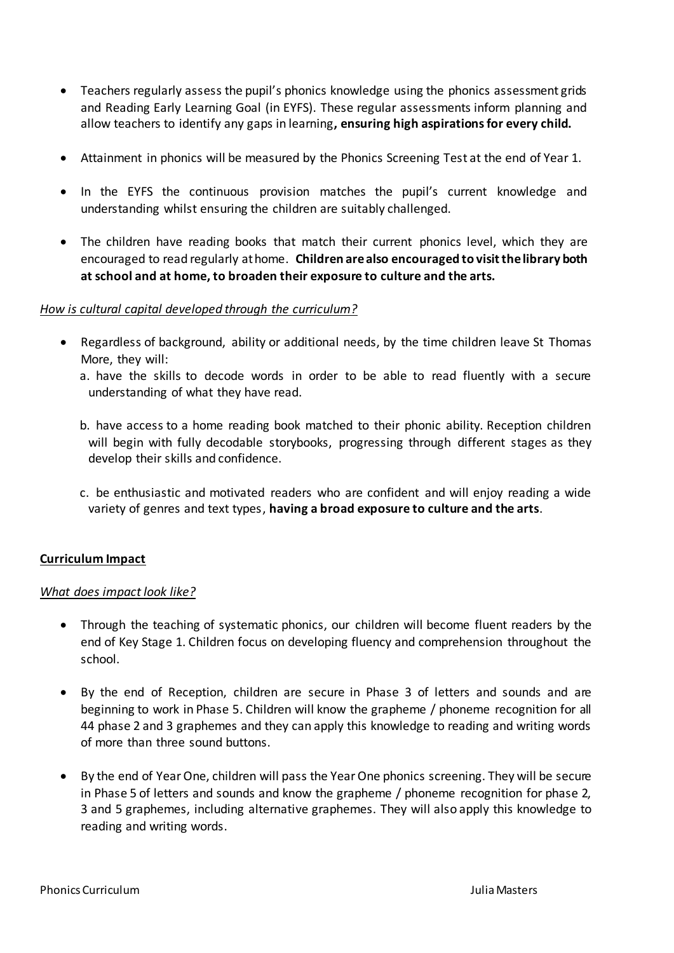- Teachers regularly assess the pupil's phonics knowledge using the phonics assessment grids and Reading Early Learning Goal (in EYFS). These regular assessments inform planning and allow teachers to identify any gaps in learning**, ensuring high aspirations for every child.**
- Attainment in phonics will be measured by the Phonics Screening Test at the end of Year 1.
- In the EYFS the continuous provision matches the pupil's current knowledge and understanding whilst ensuring the children are suitably challenged.
- The children have reading books that match their current phonics level, which they are encouraged to read regularly at home. **Children are also encouraged to visit the library both at school and at home, to broaden their exposure to culture and the arts.**

## *How is cultural capital developed through the curriculum?*

- Regardless of background, ability or additional needs, by the time children leave St Thomas More, they will:
	- a. have the skills to decode words in order to be able to read fluently with a secure understanding of what they have read.
	- b. have access to a home reading book matched to their phonic ability. Reception children will begin with fully decodable storybooks, progressing through different stages as they develop their skills and confidence.
	- c. be enthusiastic and motivated readers who are confident and will enjoy reading a wide variety of genres and text types, **having a broad exposure to culture and the arts**.

# **Curriculum Impact**

#### *What does impact look like?*

- Through the teaching of systematic phonics, our children will become fluent readers by the end of Key Stage 1. Children focus on developing fluency and comprehension throughout the school.
- By the end of Reception, children are secure in Phase 3 of letters and sounds and are beginning to work in Phase 5. Children will know the grapheme / phoneme recognition for all 44 phase 2 and 3 graphemes and they can apply this knowledge to reading and writing words of more than three sound buttons.
- By the end of Year One, children will pass the Year One phonics screening. They will be secure in Phase 5 of letters and sounds and know the grapheme / phoneme recognition for phase 2, 3 and 5 graphemes, including alternative graphemes. They will also apply this knowledge to reading and writing words.